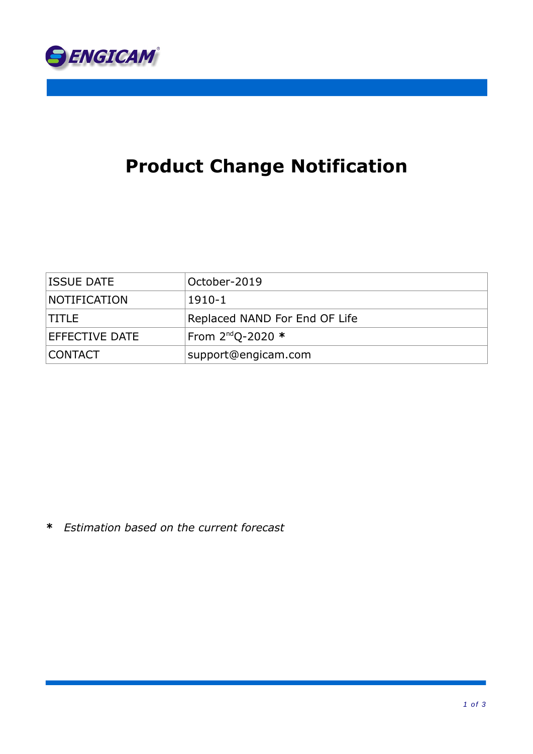

# **Product Change Notification**

| <b>ISSUE DATE</b>   | October-2019                  |
|---------------------|-------------------------------|
| <b>NOTIFICATION</b> | $1910 - 1$                    |
| ITITLE.             | Replaced NAND For End OF Life |
| EFFECTIVE DATE      | From 2 <sup>nd</sup> Q-2020 * |
| <b>CONTACT</b>      | support@engicam.com           |

**\*** *Estimation based on the current forecast*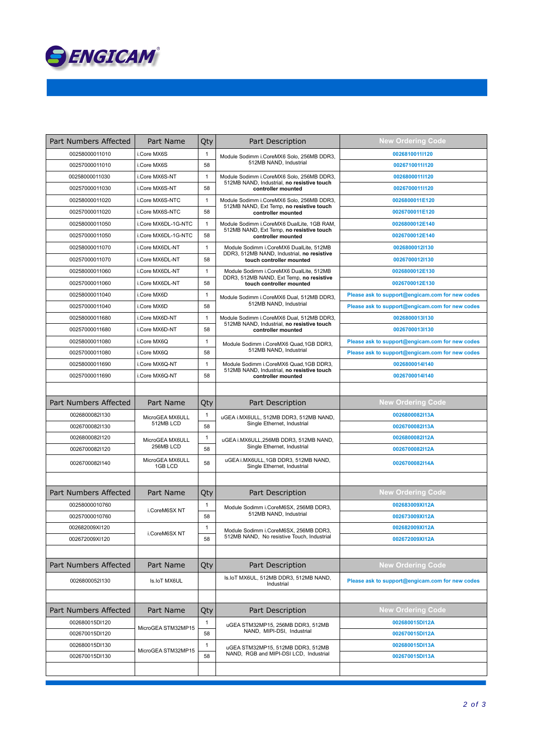

| Part Numbers Affected | Part Name                  | Qty                | Part Description                                                                                              | <b>New Ordering Code</b>                        |
|-----------------------|----------------------------|--------------------|---------------------------------------------------------------------------------------------------------------|-------------------------------------------------|
| 00258000011010        | i.Core MX6S                | $\mathbf{1}$       | Module Sodimm i.CoreMX6 Solo, 256MB DDR3,                                                                     | 0026810011l120                                  |
| 00257000011010        | i.Core MX6S                | 58                 | 512MB NAND, Industrial                                                                                        | 0026710011l120                                  |
| 00258000011030        | i.Core MX6S-NT             | $\mathbf{1}$       | Module Sodimm i.CoreMX6 Solo, 256MB DDR3,<br>512MB NAND, Industrial, no resistive touch<br>controller mounted | 0026800011l120                                  |
| 00257000011030        | i.Core MX6S-NT             | 58                 |                                                                                                               | 0026700011l120                                  |
| 00258000011020        | i.Core MX6S-NTC            | $\mathbf{1}$       | Module Sodimm i.CoreMX6 Solo, 256MB DDR3,                                                                     | 0026800011E120                                  |
| 00257000011020        | i.Core MX6S-NTC            | 58                 | 512MB NAND, Ext Temp, no resistive touch<br>controller mounted                                                | 0026700011E120                                  |
| 00258000011050        | i.Core MX6DL-1G-NTC        | $\mathbf{1}$       | Module Sodimm i.CoreMX6 DualLite, 1GB RAM,<br>512MB NAND, Ext Temp, no resistive touch<br>controller mounted  | 0026800012E140                                  |
| 00257000011050        | i.Core MX6DL-1G-NTC        | 58                 |                                                                                                               | 0026700012E140                                  |
| 00258000011070        | i.Core MX6DL-NT            | $\mathbf{1}$       | Module Sodimm i.CoreMX6 DualLite, 512MB                                                                       | 0026800012l130                                  |
| 00257000011070        | i.Core MX6DL-NT            | 58                 | DDR3, 512MB NAND, Industrial, no resistive<br>touch controller mounted                                        | 0026700012l130                                  |
| 00258000011060        | i.Core MX6DL-NT            | $\mathbf{1}$       | Module Sodimm i.CoreMX6 DualLite, 512MB                                                                       | 0026800012E130                                  |
| 00257000011060        | i.Core MX6DL-NT            | 58                 | DDR3, 512MB NAND, Ext Temp, no resistive<br>touch controller mounted                                          | 0026700012E130                                  |
| 00258000011040        | i.Core MX6D                | $\mathbf{1}$       | Module Sodimm i.CoreMX6 Dual, 512MB DDR3,                                                                     | Please ask to support@engicam.com for new codes |
| 00257000011040        | i.Core MX6D                | 58                 | 512MB NAND, Industrial                                                                                        | Please ask to support@engicam.com for new codes |
| 00258000011680        | i.Core MX6D-NT             | $\mathbf{1}$       | Module Sodimm i.CoreMX6 Dual, 512MB DDR3,                                                                     | 0026800013l130                                  |
| 00257000011680        | i.Core MX6D-NT             | 58                 | 512MB NAND. Industrial, no resistive touch<br>controller mounted                                              | 0026700013l130                                  |
| 00258000011080        | i.Core MX6Q                | $\mathbf{1}$       | Module Sodimm i.CoreMX6 Quad, 1GB DDR3,                                                                       | Please ask to support@engicam.com for new codes |
| 00257000011080        | i.Core MX6Q                | 58                 | 512MB NAND, Industrial                                                                                        | Please ask to support@engicam.com for new codes |
| 00258000011690        | i.Core MX6Q-NT             | $\mathbf{1}$       | Module Sodimm i.CoreMX6 Quad, 1GB DDR3,                                                                       | 0026800014l140                                  |
| 00257000011690        | i.Core MX6Q-NT             | 58                 | 512MB NAND, Industrial, no resistive touch<br>controller mounted                                              | 0026700014l140                                  |
|                       |                            |                    |                                                                                                               |                                                 |
| Part Numbers Affected | Part Name                  | Qty                | Part Description                                                                                              | <b>New Ordering Code</b>                        |
| 0026800082l130        | MicroGEA MX6ULL            | $\mathbf{1}$       | uGEA i.MX6ULL, 512MB DDR3, 512MB NAND,<br>Single Ethernet, Industrial                                         | 0026800082l13A                                  |
| 0026700082l130        | 512MB LCD                  | 58                 |                                                                                                               | 0026700082l13A                                  |
| 0026800082l120        | MicroGEA MX6ULL            | $\mathbf{1}$<br>58 | uGEA i.MX6ULL,256MB DDR3, 512MB NAND,<br>Single Ethernet, Industrial                                          | 0026800082l12A                                  |
| 0026700082l120        | 256MB LCD                  |                    |                                                                                                               | 0026700082l12A                                  |
| 0026700082l140        | MicroGEA MX6ULL<br>1GB LCD | 58                 | uGEA i.MX6ULL, 1GB DDR3, 512MB NAND,<br>Single Ethernet, Industrial                                           | 0026700082l14A                                  |
|                       |                            |                    |                                                                                                               |                                                 |
| Part Numbers Affected | Part Name                  | Qty                | Part Description                                                                                              | <b>New Ordering Code</b>                        |
| 00258000010760        | i.CoreM6SX NT              | $\mathbf{1}$       | Module Sodimm i.CoreM6SX, 256MB DDR3,<br>512MB NAND, Industrial                                               | 002683009XI12A                                  |
| 00257000010760        |                            | 58                 |                                                                                                               | 002673009XI12A                                  |
| 002682009XI120        | i.CoreM6SX NT              | $\mathbf{1}$<br>58 | Module Sodimm i.CoreM6SX, 256MB DDR3,<br>512MB NAND, No resistive Touch, Industrial                           | 002682009XI12A                                  |
| 002672009XI120        |                            |                    |                                                                                                               | 002672009XI12A                                  |
|                       |                            |                    |                                                                                                               |                                                 |
| Part Numbers Affected | Part Name                  | Qty                | Part Description                                                                                              | <b>New Ordering Code</b>                        |
| 0026800052l130        | Is.IoT MX6UL               |                    | Is.IoT MX6UL, 512MB DDR3, 512MB NAND,<br>Industrial                                                           | Please ask to support@engicam.com for new codes |
|                       |                            |                    |                                                                                                               |                                                 |
| Part Numbers Affected | Part Name                  | Qty                | Part Description                                                                                              | <b>New Ordering Code</b>                        |
| 002680015DI120        | MicroGEA STM32MP15         | $\mathbf{1}$       | uGEA STM32MP15, 256MB DDR3, 512MB<br>NAND, MIPI-DSI, Industrial                                               | 002680015DI12A                                  |
| 002670015DI120        |                            | 58                 |                                                                                                               | 002670015DI12A                                  |
| 002680015DI130        | MicroGEA STM32MP15         | 1                  | uGEA STM32MP15, 512MB DDR3, 512MB<br>NAND, RGB and MIPI-DSI LCD, Industrial                                   | 002680015DI13A                                  |
| 002670015DI130        |                            | 58                 |                                                                                                               | 002670015DI13A                                  |
|                       |                            |                    |                                                                                                               |                                                 |